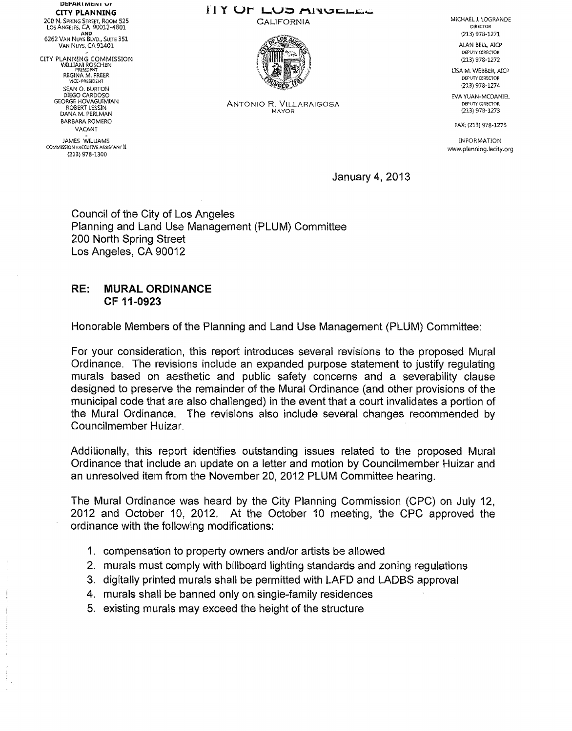DEPARTMENT OF CITY PLANNING 200 N. SPRING STREET, ROOM 525 LOS ANGELES, CA 90012-4801  $\sum_{n=1}^{\infty}$ 6262 VAN NUYS BLVD., SUITE 351 VAN NUYS, CA 91401

CITY PLANNING COMMISSION WILLIAM ROSCHEN PRESIDENT<br>REGINA M. FRÉER<br>VICE-PRESIDENT SEAN 0. BURTON DIEGO CARDOSO GEORGE HOVAGUlMIAN ROBERT LESSIN DANA M. PERLMAN BARBARA ROMERO VACANT - JAMES WJLUAMS COMMISSION EXECUTIVE ASSISTANT II

(213) 978-1300

# FIY UT LUD AINUELEE

**CALIFORNIA** 



ANTONIO R. VILLARAIGOSA MAYOR

MICHAEL J. LOGRANDE **DIRECTOR** (213) 978-1271

ALAN BEll, A!CP DEPUTY DIRECTOR (213) 978-1272

USA M. WEBBER, AICP DEPUTY DIRECTOR (213) 978-1274

EVA YUAN-MCDANIEL DEPUTY DIRECTOR (213) 978-127 3

FAX; (213) 978-1275

INFORMATION www.planning.lacity.org

January 4, 2013

Council of the City of Los Angeles Planning and Land Use Management (PLUM) Committee 200 North Spring Street Los Angeles, CA 90012

### RE: MURAL ORDINANCE CF 11-0923

Honorable Members of the Planning and Land Use Management (PLUM) Committee:

For your consideration, this report introduces several revisions to the proposed Mural Ordinance. The revisions include an expanded purpose statement to justify regulating murals based on aesthetic and public safety concerns and a severability clause designed to preserve the remainder of the Mural Ordinance (and other provisions of the municipal code that are also challenged) in the event that a court invalidates a portion of the Mural Ordinance. The revisions also include several changes recommended by Councilmember Huizar.

Additionally, this report identifies outstanding issues related to the proposed Mural Ordinance that include an update on a letter and motion by Councilmember Huizar and an unresolved item from the November 20, 2012 PLUM Committee hearing.

The Mural Ordinance was heard by the City Planning Commission (CPC) on July 12, 2012 and October 10, 2012. At the October 10 meeting, the CPC approved the ordinance with the following modifications:

- 1. compensation to property owners and/or artists be allowed
- 2. murals must comply with billboard lighting standards and zoning regulations
- 3. digitally printed murals shall be permitted with LAFD and LADBS approval
- 4. murals shall be banned only on. single-family residences
- 5. existing murals may exceed the height of the structure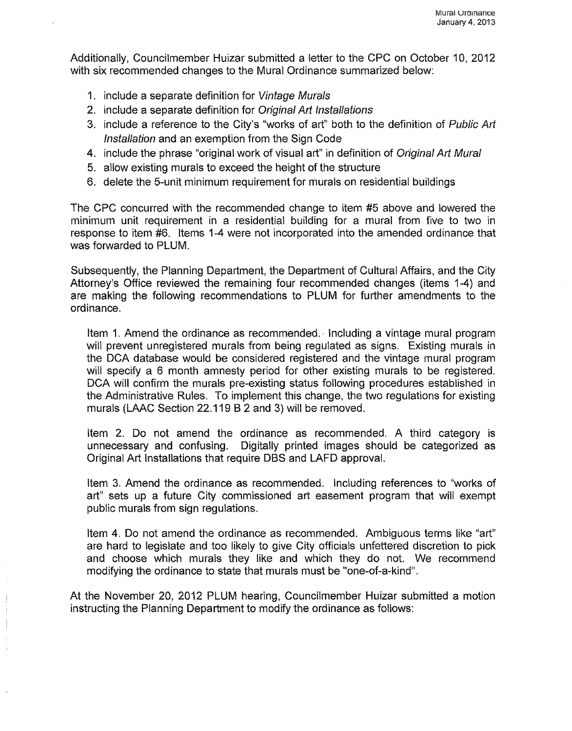Additionally, Councilmember Huizar submitted a letter to the CPC on October 10, 2012 with six recommended changes to the Mural Ordinance summarized below:

- 1. include a separate definition for Vintage Murals
- 2. include a separate definition for Original Art Installations
- 3. include a reference to the City's "works of art" both to the definition of Public Art Installation and an exemption from the Sign Code
- 4. include the phrase "original work of visual art" in definition of Original Art Mural
- 5. allow existing murals to exceed the height of the structure
- 6. delete the 5-unit minimum requirement for murals on residential buildings

The CPC concurred with the recommended change to item #5 above and lowered the minimum unit requirement in a residential building for a mural from five to two in response to item #6. Items 1-4 were not incorporated into the amended ordinance that was forwarded to PLUM.

Subsequently, the Planning Department, the Department of Cultural Affairs, and the City Attorney's Office reviewed the remaining four recommended changes (items 1-4) and are making the following recommendations to PLUM for further amendments to the ordinance.

Item 1. Amend the ordinance as recommended.· Including a vintage mural program will prevent unregistered murals from being regulated as signs. Existing murals in the DCA database would be considered registered and the vintage mural program will specify a 6 month amnesty period for other existing murals to be registered. DCA will confirm the murals pre-existing status following procedures established in the Administrative Rules. To implement this change, the two regulations for existing murals (LAAC Section 22.119 B 2 and 3) will be removed.

Item 2. Do not amend the ordinance as recommended. A third category is unnecessary and confusing. Digitally printed images should be categorized as Original Art Installations that require DBS and LAFD approval.

Item 3. Amend the ordinance as recommended. Including references to "works of art" sets up a future City commissioned art easement program that will exempt public murals from sign regulations.

Item 4. Do not amend the ordinance as recommended. Ambiguous terms like "art" are hard to legislate and too likely to give City officials unfettered discretion to pick and choose which murals they like and which they do not. We recommend modifying the ordinance to state that murals must be "one-of-a-kind".

At the November 20, 2012 PLUM hearing, Councilmember Huizar submitted a motion instructing the Planning Department to modify the ordinance as follows: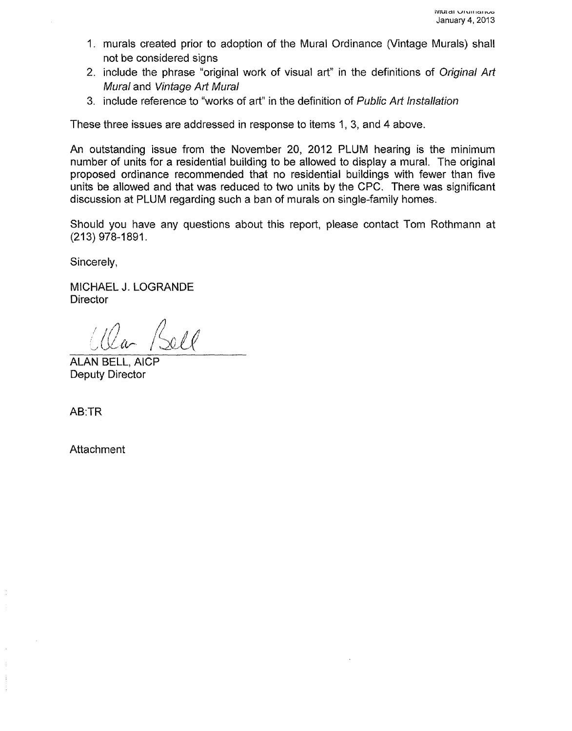- 1. murals created prior to adoption of the Mural Ordinance (Vintage Murals) shall not be considered signs
- 2. include the phrase "original work of visual art" in the definitions of Original Art Mural and Vintage Art Mural
- 3. include reference to "works of art" in the definition of Public Art Installation

These three issues are addressed in response to items 1, 3, and 4 above.

An outstanding issue from the November 20, 2012 PLUM hearing is the minimum number of units for a residential building to be allowed to display a mural. The original proposed ordinance recommended that no residential buildings with fewer than five units be allowed and that was reduced to two units by the CPC. There was significant discussion at PLUM regarding such a ban of murals on single-family homes.

Should you have any questions about this report, please contact Tom Rathmann at (213) 978-1891.

Sincerely,

MICHAEL J. LOGRANDE **Director** 

2a /Sell

ALAN BELL, AICP Deputy Director

AB:TR

**Attachment**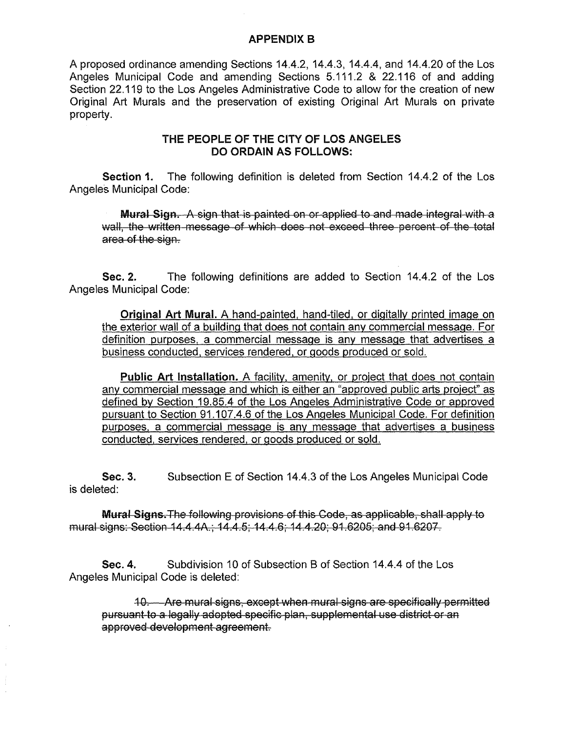#### APPENDIX B

A proposed ordinance amending Sections 14.4.2, 14.4.3, 14.4.4, and 14.4.20 of the Los Angeles Municipal Code and amending Sections 5.111.2 & 22.116 of and adding Section 22.119 to the Los Angeles Administrative Code to allow for the creation of new Original Art Murals and the preservation of existing Original Art Murals on private property.

## THE PEOPLE OF THE CITY OF LOS ANGELES DO ORDAIN AS FOLLOWS:

Section 1. The following definition is deleted from Section 14.4.2 of the Los Angeles Municipal Code:

Mural Sign. A sign that is painted on or applied to and made integral with a wall, the written message of which does not exceed three percent of the total area of the sign.

Sec. 2. The following definitions are added to Section 14.4.2 of the Los Angeles Municipal Code:

Original Art Mural. A hand-painted, hand-tiled, or digitally printed image on the exterior wall of a building that does not contain any commercial message. For definition purposes, a commercial message is any message that advertises a business conducted, services rendered, or goods produced or sold.

Public Art Installation. A facility, amenity, or project that does not contain any commercial message and which is either an "approved public arts project" as defined by Section 19.85.4 of the Los Angeles Administrative Code or approved pursuant to Section 91.107.4.6 of the Los Angeles Municipal Code. For definition purposes, a commercial message is any message that advertises a business conducted, services rendered, or goods produced or sold.

Sec. 3. is deleted: Subsection E of Section 14.4.3 of the Los Angeles Municipal Code

Mural Signs. The following provisions of this Code, as applicable, shall apply to mural signs: Section 14.4.4A.; 14.4.5; 14.4.6; 14.4.20; 91.6205; and 91.6207.

Sec. 4. Subdivision 10 of Subsection B of Section 14.4.4 of the Los Angeles Municipal Code is deleted:

10. Are mural signs, except when mural signs are specifically permitted pursuant to a legally adopted specific plan, supplemental use district or an approved development agreement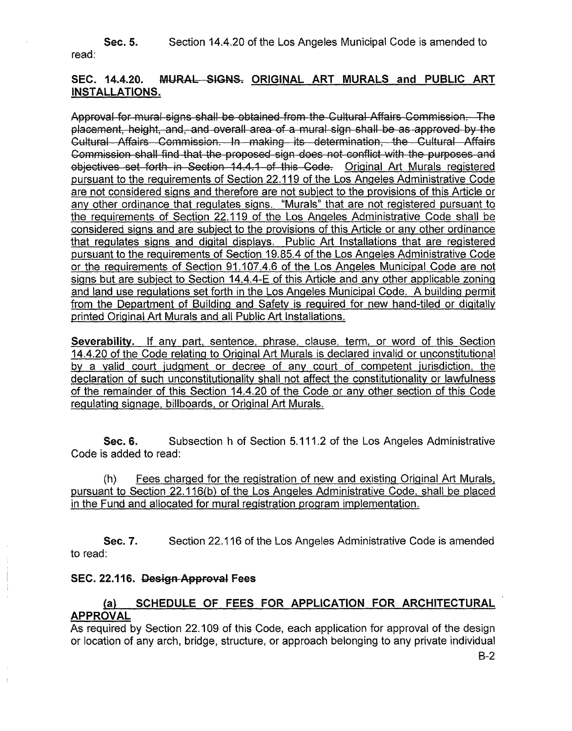Sec. 5. Section 14.4.20 of the Los Angeles Municipal Code is amended to read:

# SEC. 14.4.20. MURAL SIGNS. ORIGINAL ART MURALS and PUBLIC ART INSTALLATIONS.

Approval for mural signs shall be obtained from the Cultural Affairs Commission. The placement, height, and, and overall area of a mural sign shall be as approved by the Cultural Affairs Commission. In making its determination, the Cultural Affairs Commission shall find that the proposed sign does not conflict with the purposes and objectives set forth in Section 14.4 .1 of this Code. Original Art Murals registered pursuant to the requirements of Section 22.119 of the Los Angeles Administrative Code are not considered signs and therefore are not subject to the provisions of this Article or any other ordinance that regulates signs. "Murals" that are not registered pursuant to the requirements of Section 22.119 of the Los Angeles Administrative Code shall be considered signs and are subject to the provisions of this Article or any other ordinance that regulates signs and digital displays. Public Art Installations that are registered pursuant to the requirements of Section 19.85.4 of the Los Angeles Administrative Code or the requirements of Section 91.107.4.6 of the Los Angeles Municipal Code are not signs but are subject to Section 14.4.4-E of this Article and any other applicable zoning and land use regulations set forth in the Los Angeles Municipal Code. A building permit from the Department of Building and Safety is reguired for new hand-tiled or digitally printed Original Art Murals and all Public Art Installations.

Severability. If any part, sentence, phrase, clause, term, or word of this Section 14.4.20 of the Code relating to Original Art Murals is declared invalid or unconstitutional by a valid court judgment or decree of any court of competent jurisdiction, the declaration of such unconstitutionality shall not affect the constitutionality or lawfulness of the remainder of this Section 14.4.20 of the Code or any other section of this Code regulating signage, billboards, or Original Art Murals.

Sec. 6. Subsection h of Section 5.111.2 of the Los Angeles Administrative Code is added to read:

(h) Fees charged for the registration of new and existing Original Art Murals, pursuant to Section 22.116(b) of the Los Angeles Administrative Code, shall be placed in the Fund and allocated for mural registration program implementation.

Sec. 7. to read: Section 22.116 of the Los Angeles Administrative Code is amended

## SEC. 22.116. Design Approval Fees

# (a) SCHEDULE OF FEES FOR APPLICATION FOR ARCHITECTURAL APPROVAL

As required by Section 22.109 of this Code, each application for approval of the design or location of any arch, bridge, structure, or approach belonging to any private individual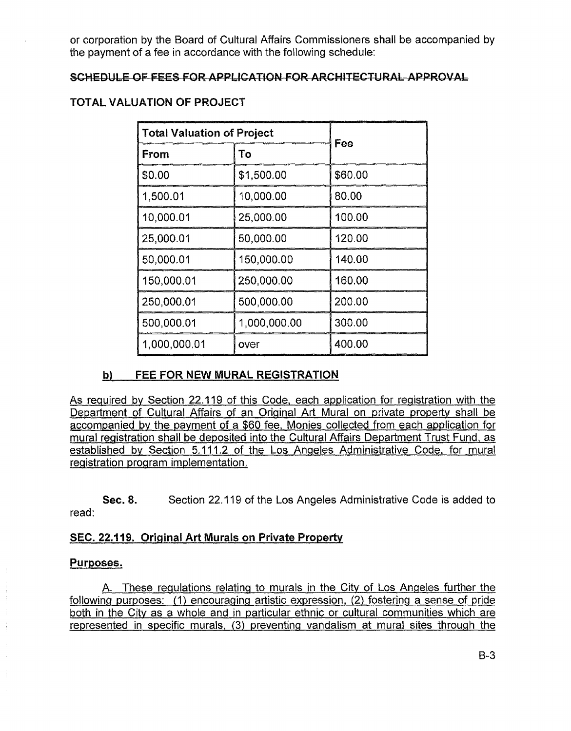or corporation by the Board of Cultural Affairs Commissioners shall be accompanied by the payment of a fee in accordance with the following schedule:

#### SCHEDULE OF FEES FOR APPLICATION FOR ARCHITECTURAL APPROVAL

# TOTAL VALUATION OF PROJECT

| <b>Total Valuation of Project</b> |              | Fee     |
|-----------------------------------|--------------|---------|
| From                              | To           |         |
| \$0.00                            | \$1,500.00   | \$60.00 |
| 1,500.01                          | 10,000.00    | 80.00   |
| 10,000.01                         | 25,000.00    | 100.00  |
| 25,000.01                         | 50,000.00    | 120.00  |
| 50,000.01                         | 150,000.00   | 140.00  |
| 150,000.01                        | 250,000.00   | 160.00  |
| 250,000.01                        | 500,000.00   | 200.00  |
| 500,000.01                        | 1,000,000.00 | 300.00  |
| 1,000,000.01                      | over         | 400.00  |

## b) FEE FOR NEW MURAL REGISTRATION

As required by Section 22.119 of this Code, each application for registration with the Department of Cultural Affairs of an Original Art Mural on private property shall be accompanied by the payment of a \$60 fee. Monies collected from each application for mural registration shall be deposited into the Cultural Affairs Department Trust Fund, as established by Section 5.111.2 of the Los Angeles Administrative Code, for mural registration program implementation.

Sec. 8. Section 22.119 of the Los Angeles Administrative Code is added to read:

## SEC. 22.119. Original Art Murals on Private Property

#### Purposes.

A. These regulations relating to murals in the City of Los Angeles further the following purposes: (1) encouraging artistic expression, (2) fostering a sense of pride both in the City as a whole and in particular ethnic or cultural communities which are represented in specific murals, (3) preventing vandalism at mural sites through the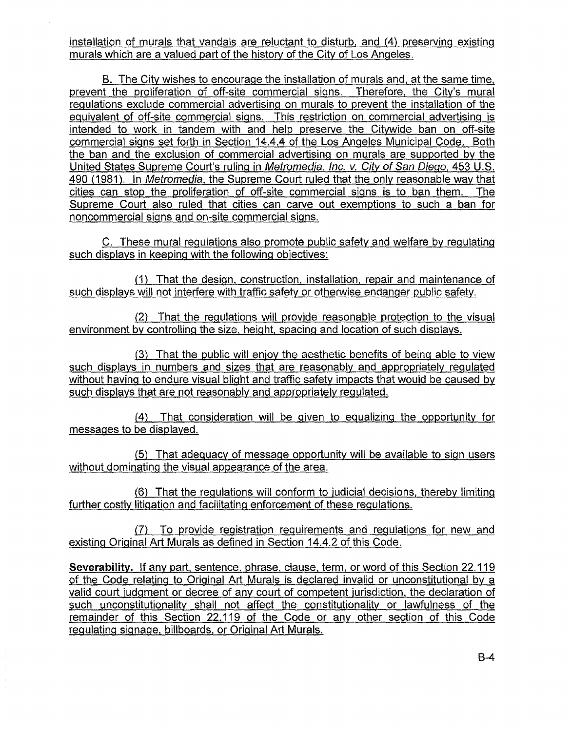installation of murals that vandals are reluctant to disturb, and (4) preserving existing murals which are a valued part of the history of the City of Los Angeles.

B. The City wishes to encourage the installation of murals and, at the same time, prevent the proliferation of off-site commercial signs. Therefore, the City's mural regulations exclude commercial advertising on murals to prevent the installation of the equivalent of off-site commercial signs. This restriction on commercial advertising is intended to work in tandem with and help preserve the Citywide ban on off-site commercial signs set forth in Section 14.4.4 of the Los Angeles Municipal Code. Both the ban and the exclusion of commercial advertising on murals are supported by the United States Supreme Court's ruling in Metromedia, Inc. v. City of San Diego, 453 U.S. 490 (1981). In Metromedia, the Supreme Court ruled that the only reasonable way that cities can stop the proliferation of off-site commercial signs is to ban them. The Supreme Court also ruled that cities can carve out exemptions to such a ban for noncommercial signs and on-site commercial signs.

C. These mural regulations also promote public safety and welfare by regulating such displays in keeping with the following objectives:

(1) That the design, construction, installation, repair and maintenance of such displays will not interfere with traffic safety or otherwise endanger public safety.

{2) That the regulations will provide reasonable protection to the visual environment by controlling the size, height, spacing and location of such displays.

(3) That the public will enjoy the aesthetic benefits of being able to view such displays in numbers and sizes that are reasonably and appropriately regulated without having to endure visual blight and traffic safety impacts that would be caused by such displays that are not reasonably and appropriately regulated.

(4) That consideration will be given to equalizing the opportunity for messages to be displayed.

(5) That adequacy of message opportunity will be available to sign users without dominating the visual appearance of the area.

(6) That the regulations will conform to judicial decisions, thereby limiting further costly litigation and facilitating enforcement of these regulations.

(7) To provide registration requirements and regulations for new and existing Original Art Murals as defined in Section 14.4.2 of this Code.

**Severability.** If any part, sentence, phrase, clause, term, or word of this Section 22.119 of the Code relating to Original Art Murals is declared invalid or unconstitutional by a valid court judgment or decree of any court of competent jurisdiction, the declaration of such unconstitutionality shall not affect the constitutionality or lawfulness of the remainder of this Section 22.119 of the Code or any other section of this Code regulating signage, billboards, or Original Art Murals.

 $\frac{1}{4}$ 

 $\ddot{\phantom{0}}$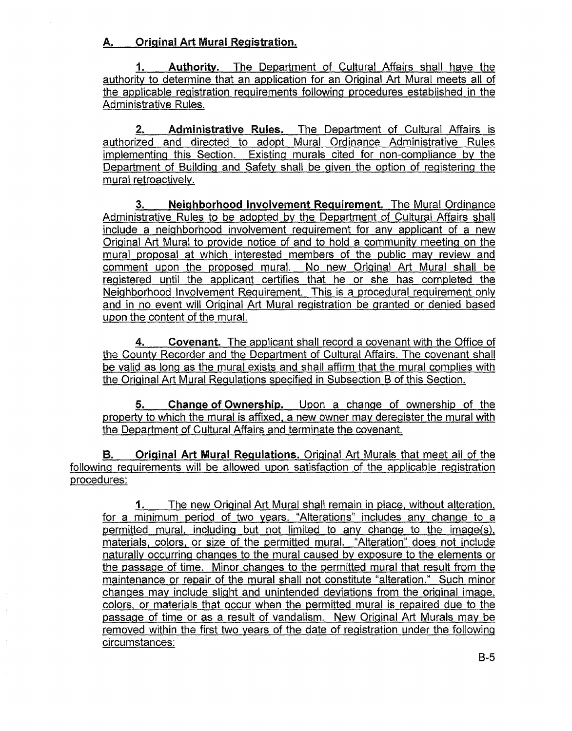# A. Original Art Mural Registration.

1. Authority. The Department of Cultural Affairs shall have the authority to determine that an application for an Original Art Mural meets all of the applicable registration requirements following procedures established in the Administrative Rules.

2. Administrative Rules. The Department of Cultural Affairs is authorized and directed to adopt Mural Ordinance Administrative Rules implementing this Section. Existing murals cited for non-compliance by the Department of Building and Safety shall be given the option of registering the mural retroactively.

3. Neighborhood Involvement Requirement. The Mural Ordinance Administrative Rules to be adopted by the Department of Cultural Affairs shall include a neighborhood involvement requirement for any applicant of a new Original Art Mural to provide notice of and to hold a community meeting on the mural proposal at which interested members of the public may review and comment upon the proposed mural. No new Original Art Mural shall be registered until the applicant certifies that he or she has completed the Neighborhood Involvement Requirement. This is a procedural requirement only and in no event will Original Art Mural registration be granted or denied based upon the content of the mural.

4. Covenant. The applicant shall record a covenant with the Office of the County Recorder and the Department of Cultural Affairs. The covenant shall be valid as long as the mural exists and shall affirm that the mural complies with the Original Art Mural Regulations specified in Subsection B of this Section.

5. Change of Ownership. Upon a change of ownership of the property to which the mural is affixed, a new owner may deregister the mural with the Department of Cultural Affairs and terminate the covenant.

B. Original Art Mural Regulations. Original Art Murals that meet all of the following requirements will be allowed upon satisfaction of the applicable registration procedures:

1. The new Original Art Mural shall remain in place, without alteration, for a minimum period of two years. "Alterations" includes any change to a permitted mural, including but not limited to any change to the image(s), materials, colors, or size of the permitted mural. "Alteration" does not include naturally occurring changes to the mural caused by exposure to the elements or the passage of time. Minor changes to the permitted mural that result from the maintenance or repair of the mural shall not constitute "alteration." Such minor changes may include slight and unintended deviations from the original image, colors, or materials that occur when the permitted mural is repaired due to the passage of time or as a result of vandalism. New Original Art Murals may be removed within the first two years of the date of registration under the following circumstances:

 $\frac{1}{2}$ 

 $\frac{1}{3}$